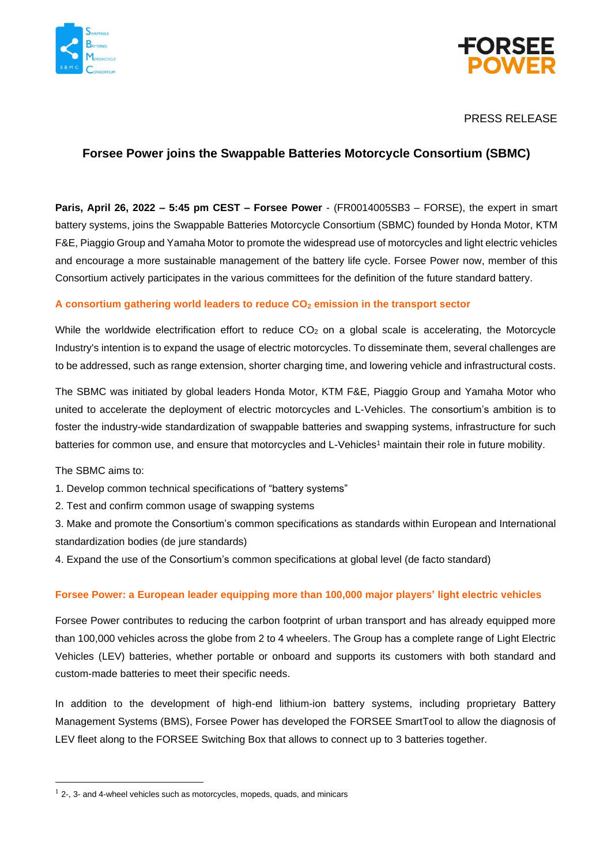



# PRESS RELEASE

# **Forsee Power joins the Swappable Batteries Motorcycle Consortium (SBMC)**

**Paris, April 26, 2022 – 5:45 pm CEST – Forsee Power** - (FR0014005SB3 – FORSE), the expert in smart battery systems, joins the Swappable Batteries Motorcycle Consortium (SBMC) founded by Honda Motor, KTM F&E, Piaggio Group and Yamaha Motor to promote the widespread use of motorcycles and light electric vehicles and encourage a more sustainable management of the battery life cycle. Forsee Power now, member of this Consortium actively participates in the various committees for the definition of the future standard battery.

### **A consortium gathering world leaders to reduce CO<sup>2</sup> emission in the transport sector**

While the worldwide electrification effort to reduce  $CO<sub>2</sub>$  on a global scale is accelerating, the Motorcycle Industry's intention is to expand the usage of electric motorcycles. To disseminate them, several challenges are to be addressed, such as range extension, shorter charging time, and lowering vehicle and infrastructural costs.

The SBMC was initiated by global leaders Honda Motor, KTM F&E, Piaggio Group and Yamaha Motor who united to accelerate the deployment of electric motorcycles and L-Vehicles. The consortium's ambition is to foster the industry-wide standardization of swappable batteries and swapping systems, infrastructure for such batteries for common use, and ensure that motorcycles and L-Vehicles<sup>1</sup> maintain their role in future mobility.

The SBMC aims to:

1. Develop common technical specifications of "battery systems"

2. Test and confirm common usage of swapping systems

3. Make and promote the Consortium's common specifications as standards within European and International standardization bodies (de jure standards)

4. Expand the use of the Consortium's common specifications at global level (de facto standard)

## **Forsee Power: a European leader equipping more than 100,000 major players' light electric vehicles**

Forsee Power contributes to reducing the carbon footprint of urban transport and has already equipped more than 100,000 vehicles across the globe from 2 to 4 wheelers. The Group has a complete range of Light Electric Vehicles (LEV) batteries, whether portable or onboard and supports its customers with both standard and custom-made batteries to meet their specific needs.

In addition to the development of high-end lithium-ion battery systems, including proprietary Battery Management Systems (BMS), Forsee Power has developed the FORSEE SmartTool to allow the diagnosis of LEV fleet along to the FORSEE Switching Box that allows to connect up to 3 batteries together.

 $<sup>1</sup>$  2-, 3- and 4-wheel vehicles such as motorcycles, mopeds, quads, and minicars</sup>